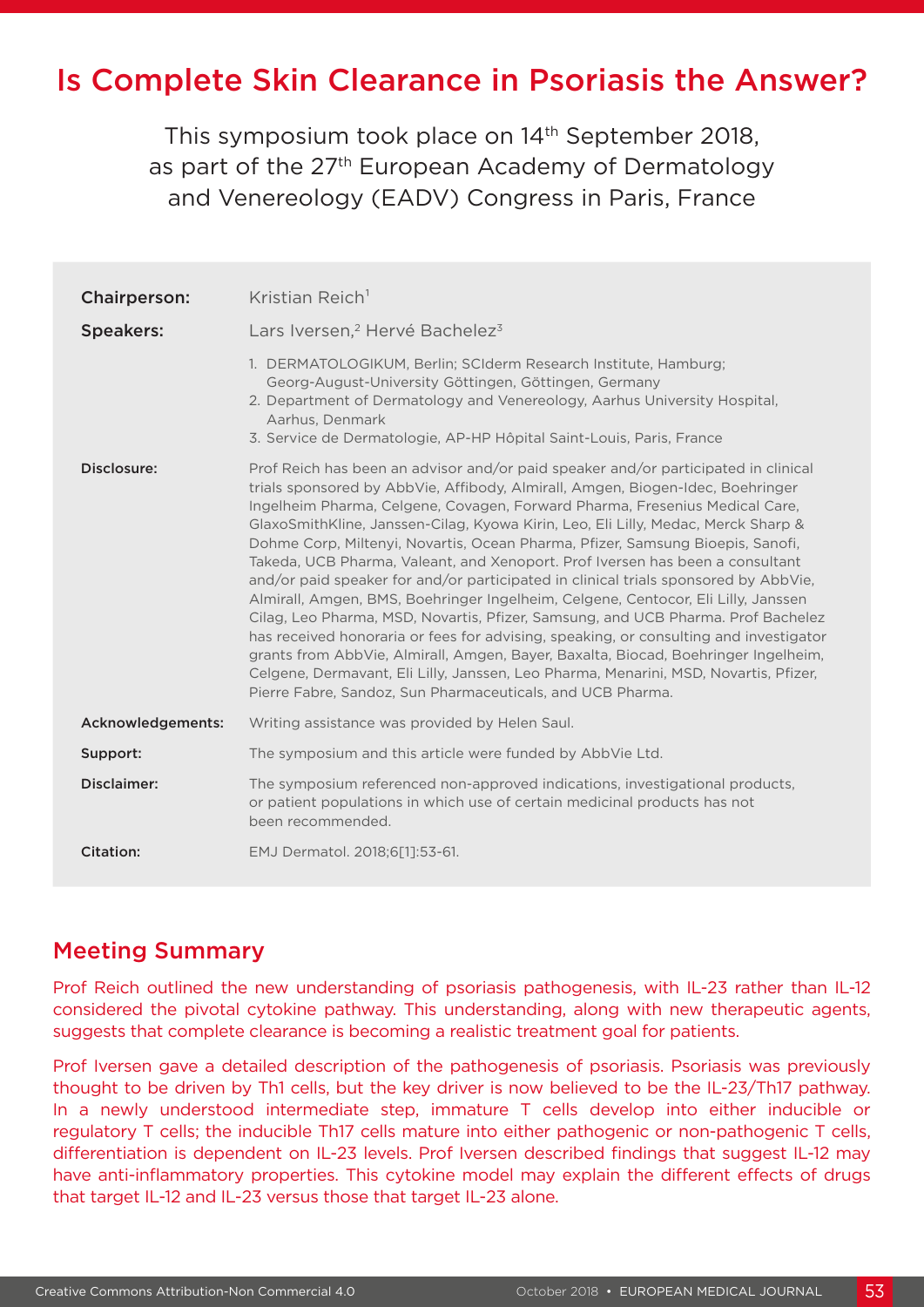# Is Complete Skin Clearance in Psoriasis the Answer?

This symposium took place on 14<sup>th</sup> September 2018, as part of the 27<sup>th</sup> European Academy of Dermatology and Venereology (EADV) Congress in Paris, France

| <b>Chairperson:</b> | Kristian Reich <sup>1</sup>                                                                                                                                                                                                                                                                                                                                                                                                                                                                                                                                                                                                                                                                                                                                                                                                                                                                                                                                                                                                                                                                                      |
|---------------------|------------------------------------------------------------------------------------------------------------------------------------------------------------------------------------------------------------------------------------------------------------------------------------------------------------------------------------------------------------------------------------------------------------------------------------------------------------------------------------------------------------------------------------------------------------------------------------------------------------------------------------------------------------------------------------------------------------------------------------------------------------------------------------------------------------------------------------------------------------------------------------------------------------------------------------------------------------------------------------------------------------------------------------------------------------------------------------------------------------------|
| <b>Speakers:</b>    | Lars Iversen, <sup>2</sup> Hervé Bachelez <sup>3</sup>                                                                                                                                                                                                                                                                                                                                                                                                                                                                                                                                                                                                                                                                                                                                                                                                                                                                                                                                                                                                                                                           |
|                     | 1. DERMATOLOGIKUM, Berlin; SCIderm Research Institute, Hamburg;<br>Georg-August-University Göttingen, Göttingen, Germany<br>2. Department of Dermatology and Venereology, Aarhus University Hospital,<br>Aarhus, Denmark<br>3. Service de Dermatologie, AP-HP Hôpital Saint-Louis, Paris, France                                                                                                                                                                                                                                                                                                                                                                                                                                                                                                                                                                                                                                                                                                                                                                                                                 |
| Disclosure:         | Prof Reich has been an advisor and/or paid speaker and/or participated in clinical<br>trials sponsored by AbbVie, Affibody, Almirall, Amgen, Biogen-Idec, Boehringer<br>Ingelheim Pharma, Celgene, Covagen, Forward Pharma, Fresenius Medical Care,<br>GlaxoSmithKline, Janssen-Cilag, Kyowa Kirin, Leo, Eli Lilly, Medac, Merck Sharp &<br>Dohme Corp, Miltenyi, Novartis, Ocean Pharma, Pfizer, Samsung Bioepis, Sanofi,<br>Takeda, UCB Pharma, Valeant, and Xenoport. Prof Iversen has been a consultant<br>and/or paid speaker for and/or participated in clinical trials sponsored by AbbVie,<br>Almirall, Amgen, BMS, Boehringer Ingelheim, Celgene, Centocor, Eli Lilly, Janssen<br>Cilag, Leo Pharma, MSD, Novartis, Pfizer, Samsung, and UCB Pharma. Prof Bachelez<br>has received honoraria or fees for advising, speaking, or consulting and investigator<br>grants from AbbVie, Almirall, Amgen, Bayer, Baxalta, Biocad, Boehringer Ingelheim,<br>Celgene, Dermavant, Eli Lilly, Janssen, Leo Pharma, Menarini, MSD, Novartis, Pfizer,<br>Pierre Fabre, Sandoz, Sun Pharmaceuticals, and UCB Pharma. |
| Acknowledgements:   | Writing assistance was provided by Helen Saul.                                                                                                                                                                                                                                                                                                                                                                                                                                                                                                                                                                                                                                                                                                                                                                                                                                                                                                                                                                                                                                                                   |
| Support:            | The symposium and this article were funded by AbbVie Ltd.                                                                                                                                                                                                                                                                                                                                                                                                                                                                                                                                                                                                                                                                                                                                                                                                                                                                                                                                                                                                                                                        |
| Disclaimer:         | The symposium referenced non-approved indications, investigational products,<br>or patient populations in which use of certain medicinal products has not<br>been recommended.                                                                                                                                                                                                                                                                                                                                                                                                                                                                                                                                                                                                                                                                                                                                                                                                                                                                                                                                   |
| <b>Citation:</b>    | EMJ Dermatol. 2018;6[1]:53-61.                                                                                                                                                                                                                                                                                                                                                                                                                                                                                                                                                                                                                                                                                                                                                                                                                                                                                                                                                                                                                                                                                   |

### Meeting Summary

Prof Reich outlined the new understanding of psoriasis pathogenesis, with IL-23 rather than IL-12 considered the pivotal cytokine pathway. This understanding, along with new therapeutic agents, suggests that complete clearance is becoming a realistic treatment goal for patients.

Prof Iversen gave a detailed description of the pathogenesis of psoriasis. Psoriasis was previously thought to be driven by Th1 cells, but the key driver is now believed to be the IL-23/Th17 pathway. In a newly understood intermediate step, immature T cells develop into either inducible or regulatory T cells; the inducible Th17 cells mature into either pathogenic or non-pathogenic T cells, differentiation is dependent on IL-23 levels. Prof Iversen described findings that suggest IL-12 may have anti-inflammatory properties. This cytokine model may explain the different effects of drugs that target IL-12 and IL-23 versus those that target IL-23 alone.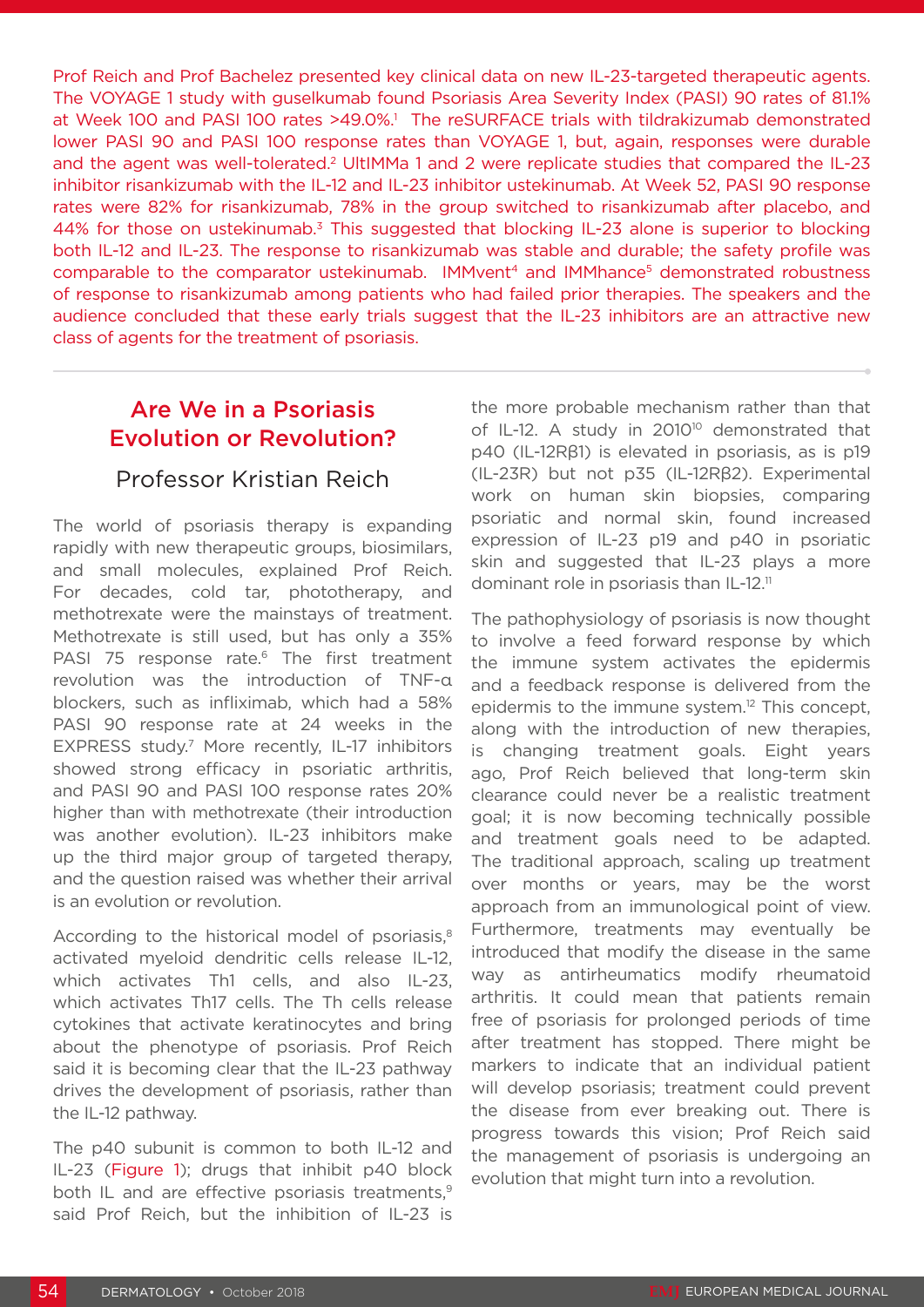Prof Reich and Prof Bachelez presented key clinical data on new IL-23-targeted therapeutic agents. The VOYAGE 1 study with guselkumab found Psoriasis Area Severity Index (PASI) 90 rates of 81.1% at Week 100 and PASI 100 rates >49.0%.<sup>1</sup> The reSURFACE trials with tildrakizumab demonstrated lower PASI 90 and PASI 100 response rates than VOYAGE 1, but, again, responses were durable and the agent was well-tolerated.<sup>2</sup> UltIMMa 1 and 2 were replicate studies that compared the IL-23 inhibitor risankizumab with the IL-12 and IL-23 inhibitor ustekinumab. At Week 52, PASI 90 response rates were 82% for risankizumab, 78% in the group switched to risankizumab after placebo, and 44% for those on ustekinumab.<sup>3</sup> This suggested that blocking IL-23 alone is superior to blocking both IL-12 and IL-23. The response to risankizumab was stable and durable; the safety profile was comparable to the comparator ustekinumab. IMMvent<sup>4</sup> and IMMhance<sup>5</sup> demonstrated robustness of response to risankizumab among patients who had failed prior therapies. The speakers and the audience concluded that these early trials suggest that the IL-23 inhibitors are an attractive new class of agents for the treatment of psoriasis.

## Are We in a Psoriasis Evolution or Revolution?

### Professor Kristian Reich

The world of psoriasis therapy is expanding rapidly with new therapeutic groups, biosimilars, and small molecules, explained Prof Reich. For decades, cold tar, phototherapy, and methotrexate were the mainstays of treatment. Methotrexate is still used, but has only a 35% PASI 75 response rate.<sup>6</sup> The first treatment revolution was the introduction of TNF-α blockers, such as infliximab, which had a 58% PASI 90 response rate at 24 weeks in the EXPRESS study.7 More recently, IL-17 inhibitors showed strong efficacy in psoriatic arthritis, and PASI 90 and PASI 100 response rates 20% higher than with methotrexate (their introduction was another evolution). IL-23 inhibitors make up the third major group of targeted therapy, and the question raised was whether their arrival is an evolution or revolution.

According to the historical model of psoriasis,<sup>8</sup> activated myeloid dendritic cells release IL-12, which activates Th1 cells, and also IL-23, which activates Th17 cells. The Th cells release cytokines that activate keratinocytes and bring about the phenotype of psoriasis. Prof Reich said it is becoming clear that the IL-23 pathway drives the development of psoriasis, rather than the IL-12 pathway.

The p40 subunit is common to both IL-12 and IL-23 (Figure 1); drugs that inhibit p40 block both IL and are effective psoriasis treatments,<sup>9</sup> said Prof Reich, but the inhibition of IL-23 is

the more probable mechanism rather than that of IL-12. A study in 2010<sup>10</sup> demonstrated that p40 (IL-12Rβ1) is elevated in psoriasis, as is p19 (IL-23R) but not p35 (IL-12Rβ2). Experimental work on human skin biopsies, comparing psoriatic and normal skin, found increased expression of IL-23 p19 and p40 in psoriatic skin and suggested that IL-23 plays a more dominant role in psoriasis than IL-12.<sup>11</sup>

The pathophysiology of psoriasis is now thought to involve a feed forward response by which the immune system activates the epidermis and a feedback response is delivered from the epidermis to the immune system.<sup>12</sup> This concept, along with the introduction of new therapies, is changing treatment goals. Eight years ago, Prof Reich believed that long-term skin clearance could never be a realistic treatment goal; it is now becoming technically possible and treatment goals need to be adapted. The traditional approach, scaling up treatment over months or years, may be the worst approach from an immunological point of view. Furthermore, treatments may eventually be introduced that modify the disease in the same way as antirheumatics modify rheumatoid arthritis. It could mean that patients remain free of psoriasis for prolonged periods of time after treatment has stopped. There might be markers to indicate that an individual patient will develop psoriasis; treatment could prevent the disease from ever breaking out. There is progress towards this vision; Prof Reich said the management of psoriasis is undergoing an evolution that might turn into a revolution.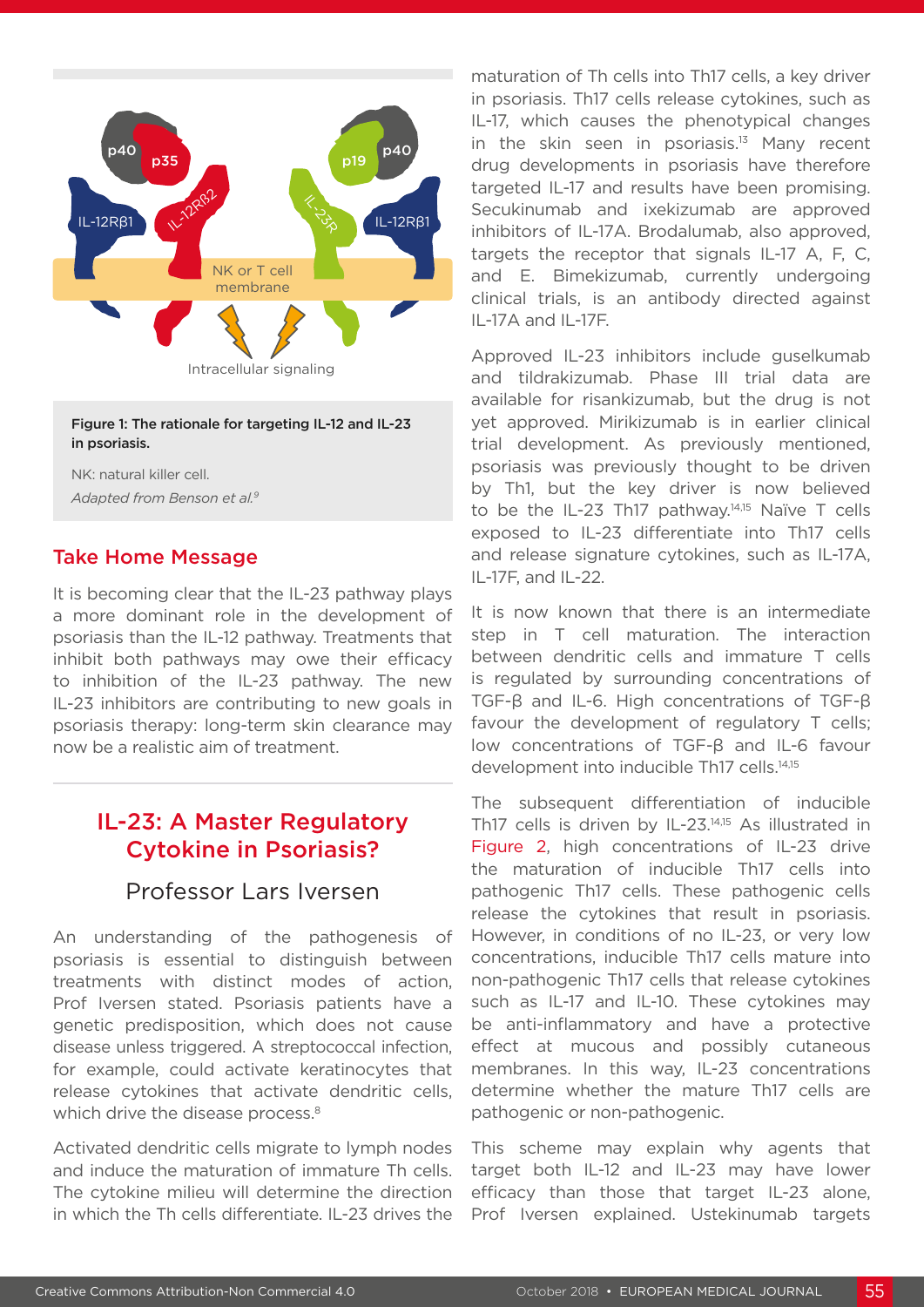

#### Figure 1: The rationale for targeting IL-12 and IL-23 in psoriasis.

NK: natural killer cell. *Adapted from Benson et al.9*

#### Take Home Message

It is becoming clear that the IL-23 pathway plays a more dominant role in the development of psoriasis than the IL-12 pathway. Treatments that inhibit both pathways may owe their efficacy to inhibition of the IL-23 pathway. The new IL-23 inhibitors are contributing to new goals in psoriasis therapy: long-term skin clearance may now be a realistic aim of treatment.

## IL-23: A Master Regulatory Cytokine in Psoriasis?

### Professor Lars Iversen

An understanding of the pathogenesis of psoriasis is essential to distinguish between treatments with distinct modes of action, Prof Iversen stated. Psoriasis patients have a genetic predisposition, which does not cause disease unless triggered. A streptococcal infection, for example, could activate keratinocytes that release cytokines that activate dendritic cells, which drive the disease process.<sup>8</sup>

Activated dendritic cells migrate to lymph nodes and induce the maturation of immature Th cells. The cytokine milieu will determine the direction in which the Th cells differentiate. IL-23 drives the

maturation of Th cells into Th17 cells, a key driver in psoriasis. Th17 cells release cytokines, such as IL-17, which causes the phenotypical changes in the skin seen in psoriasis.<sup>13</sup> Many recent drug developments in psoriasis have therefore targeted IL-17 and results have been promising. Secukinumab and ixekizumab are approved inhibitors of IL-17A. Brodalumab, also approved, targets the receptor that signals IL-17 A, F, C, and E. Bimekizumab, currently undergoing clinical trials, is an antibody directed against IL-17A and IL-17F.

Approved IL-23 inhibitors include guselkumab and tildrakizumab. Phase III trial data are available for risankizumab, but the drug is not yet approved. Mirikizumab is in earlier clinical trial development. As previously mentioned, psoriasis was previously thought to be driven by Th1, but the key driver is now believed to be the IL-23 Th17 pathway.14,15 Naïve T cells exposed to IL-23 differentiate into Th17 cells and release signature cytokines, such as IL-17A, IL-17F, and IL-22.

It is now known that there is an intermediate step in T cell maturation. The interaction between dendritic cells and immature T cells is regulated by surrounding concentrations of TGF-β and IL-6. High concentrations of TGF-β favour the development of regulatory T cells; low concentrations of TGF-β and IL-6 favour development into inducible Th17 cells.14,15

The subsequent differentiation of inducible Th17 cells is driven by IL-23.14,15 As illustrated in Figure 2, high concentrations of IL-23 drive the maturation of inducible Th17 cells into pathogenic Th17 cells. These pathogenic cells release the cytokines that result in psoriasis. However, in conditions of no IL-23, or very low concentrations, inducible Th17 cells mature into non-pathogenic Th17 cells that release cytokines such as IL-17 and IL-10. These cytokines may be anti-inflammatory and have a protective effect at mucous and possibly cutaneous membranes. In this way, IL-23 concentrations determine whether the mature Th17 cells are pathogenic or non-pathogenic.

This scheme may explain why agents that target both IL-12 and IL-23 may have lower efficacy than those that target IL-23 alone, Prof Iversen explained. Ustekinumab targets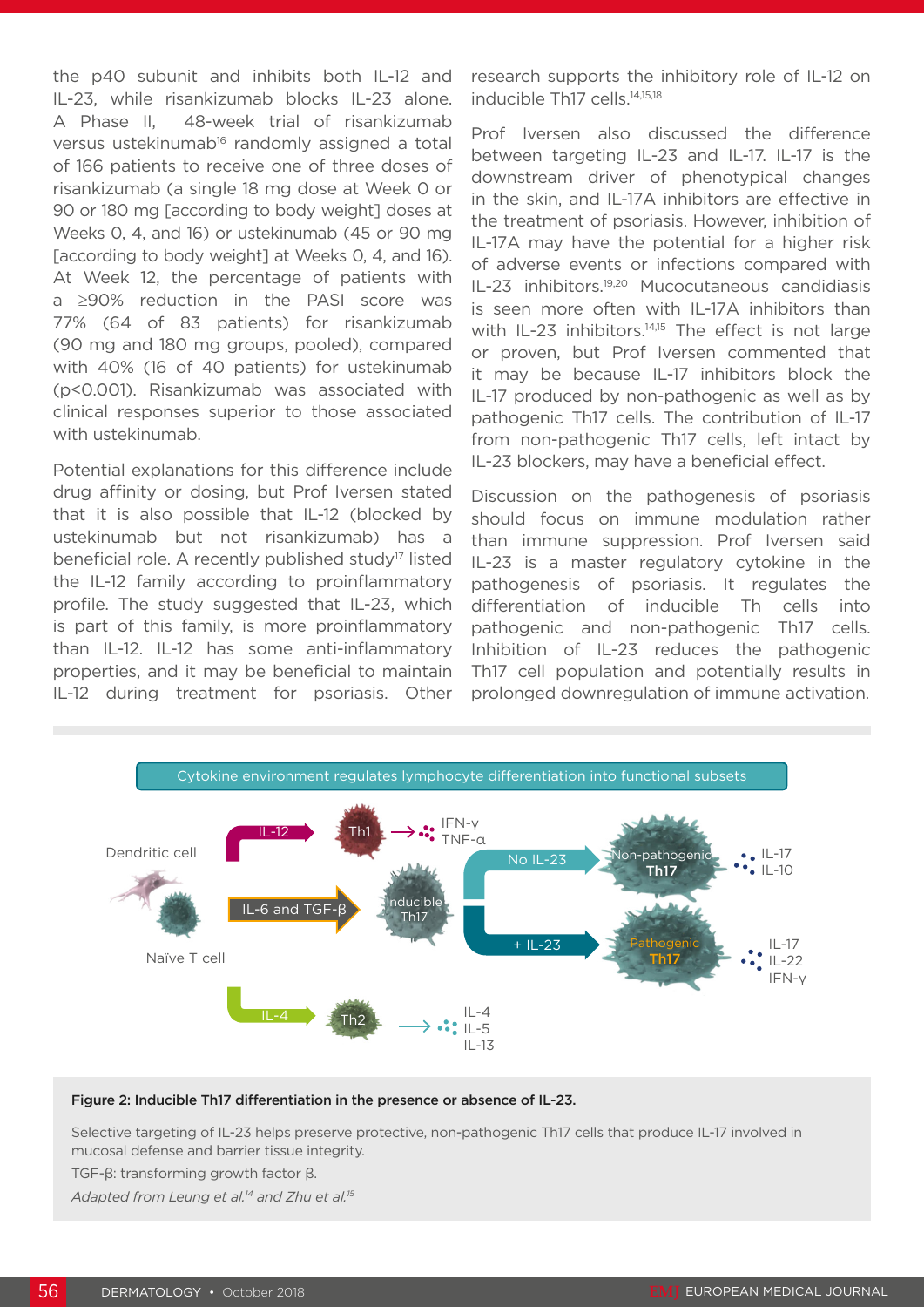the p40 subunit and inhibits both IL-12 and IL-23, while risankizumab blocks IL-23 alone. A Phase II, 48-week trial of risankizumab versus ustekinumab<sup>16</sup> randomly assigned a total of 166 patients to receive one of three doses of risankizumab (a single 18 mg dose at Week 0 or 90 or 180 mg [according to body weight] doses at Weeks 0, 4, and 16) or ustekinumab (45 or 90 mg [according to body weight] at Weeks 0, 4, and 16). At Week 12, the percentage of patients with a ≥90% reduction in the PASI score was 77% (64 of 83 patients) for risankizumab (90 mg and 180 mg groups, pooled), compared with 40% (16 of 40 patients) for ustekinumab (p<0.001). Risankizumab was associated with clinical responses superior to those associated with ustekinumab.

Potential explanations for this difference include drug affinity or dosing, but Prof Iversen stated that it is also possible that IL-12 (blocked by ustekinumab but not risankizumab) has a beneficial role. A recently published study<sup>17</sup> listed the IL-12 family according to proinflammatory profile. The study suggested that IL-23, which is part of this family, is more proinflammatory than IL-12. IL-12 has some anti-inflammatory properties, and it may be beneficial to maintain IL-12 during treatment for psoriasis. Other research supports the inhibitory role of IL-12 on inducible Th17 cells.<sup>14,15,18</sup>

Prof Iversen also discussed the difference between targeting IL-23 and IL-17. IL-17 is the downstream driver of phenotypical changes in the skin, and IL-17A inhibitors are effective in the treatment of psoriasis. However, inhibition of IL-17A may have the potential for a higher risk of adverse events or infections compared with IL-23 inhibitors.19,20 Mucocutaneous candidiasis is seen more often with IL-17A inhibitors than with IL-23 inhibitors.<sup>14,15</sup> The effect is not large or proven, but Prof Iversen commented that it may be because IL-17 inhibitors block the IL-17 produced by non-pathogenic as well as by pathogenic Th17 cells. The contribution of IL-17 from non-pathogenic Th17 cells, left intact by IL-23 blockers, may have a beneficial effect.

Discussion on the pathogenesis of psoriasis should focus on immune modulation rather than immune suppression. Prof Iversen said IL-23 is a master regulatory cytokine in the pathogenesis of psoriasis. It regulates the differentiation of inducible Th cells into pathogenic and non-pathogenic Th17 cells. Inhibition of IL-23 reduces the pathogenic Th17 cell population and potentially results in prolonged downregulation of immune activation.



#### Figure 2: Inducible Th17 differentiation in the presence or absence of IL-23.

Selective targeting of IL-23 helps preserve protective, non-pathogenic Th17 cells that produce IL-17 involved in mucosal defense and barrier tissue integrity.

TGF-β: transforming growth factor β.

*Adapted from Leung et al.14 and Zhu et al.15*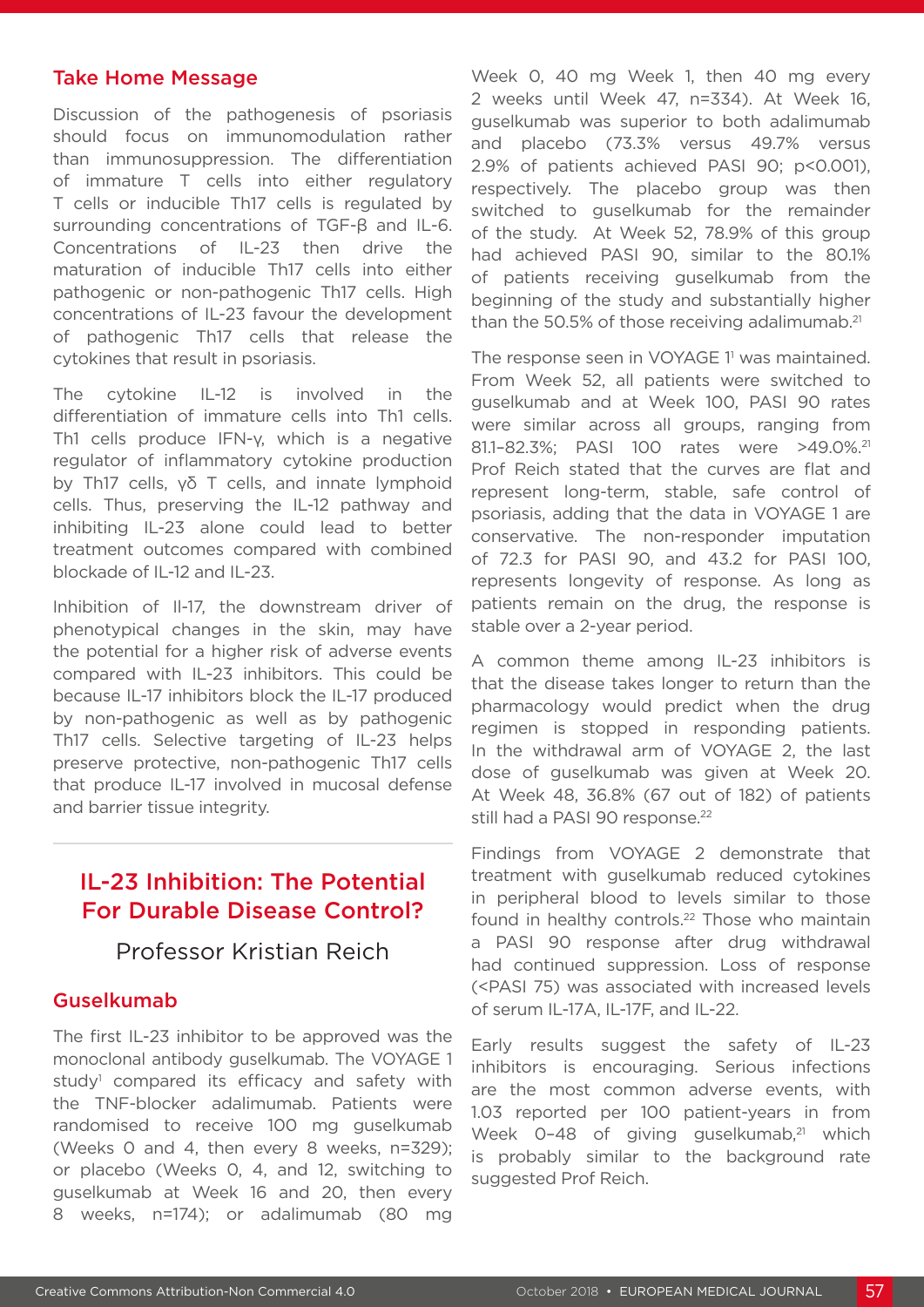#### Take Home Message

Discussion of the pathogenesis of psoriasis should focus on immunomodulation rather than immunosuppression. The differentiation of immature T cells into either regulatory T cells or inducible Th17 cells is regulated by surrounding concentrations of TGF-β and IL-6. Concentrations of IL-23 then drive the maturation of inducible Th17 cells into either pathogenic or non-pathogenic Th17 cells. High concentrations of IL-23 favour the development of pathogenic Th17 cells that release the cytokines that result in psoriasis.

The cytokine IL-12 is involved in the differentiation of immature cells into Th1 cells. Th1 cells produce IFN-γ, which is a negative regulator of inflammatory cytokine production by Th17 cells, γδ T cells, and innate lymphoid cells. Thus, preserving the IL-12 pathway and inhibiting IL-23 alone could lead to better treatment outcomes compared with combined blockade of IL-12 and IL-23.

Inhibition of Il-17, the downstream driver of phenotypical changes in the skin, may have the potential for a higher risk of adverse events compared with IL-23 inhibitors. This could be because IL-17 inhibitors block the IL-17 produced by non-pathogenic as well as by pathogenic Th17 cells. Selective targeting of IL-23 helps preserve protective, non-pathogenic Th17 cells that produce IL-17 involved in mucosal defense and barrier tissue integrity.

## IL-23 Inhibition: The Potential For Durable Disease Control?

### Professor Kristian Reich

#### Guselkumab

The first IL-23 inhibitor to be approved was the monoclonal antibody guselkumab. The VOYAGE 1 study<sup>1</sup> compared its efficacy and safety with the TNF-blocker adalimumab. Patients were randomised to receive 100 mg guselkumab (Weeks 0 and 4, then every 8 weeks, n=329); or placebo (Weeks 0, 4, and 12, switching to guselkumab at Week 16 and 20, then every 8 weeks, n=174); or adalimumab (80 mg

Week 0, 40 mg Week 1, then 40 mg every 2 weeks until Week 47, n=334). At Week 16, guselkumab was superior to both adalimumab and placebo (73.3% versus 49.7% versus 2.9% of patients achieved PASI 90; p<0.001), respectively. The placebo group was then switched to guselkumab for the remainder of the study. At Week 52, 78.9% of this group had achieved PASI 90, similar to the 80.1% of patients receiving guselkumab from the beginning of the study and substantially higher than the 50.5% of those receiving adalimumab.<sup>21</sup>

The response seen in VOYAGE 1<sup>1</sup> was maintained. From Week 52, all patients were switched to guselkumab and at Week 100, PASI 90 rates were similar across all groups, ranging from 81.1-82.3%; PASI 100 rates were >49.0%.<sup>21</sup> Prof Reich stated that the curves are flat and represent long-term, stable, safe control of psoriasis, adding that the data in VOYAGE 1 are conservative. The non-responder imputation of 72.3 for PASI 90, and 43.2 for PASI 100, represents longevity of response. As long as patients remain on the drug, the response is stable over a 2-year period.

A common theme among IL-23 inhibitors is that the disease takes longer to return than the pharmacology would predict when the drug regimen is stopped in responding patients. In the withdrawal arm of VOYAGE 2, the last dose of guselkumab was given at Week 20. At Week 48, 36.8% (67 out of 182) of patients still had a PASI 90 response.<sup>22</sup>

Findings from VOYAGE 2 demonstrate that treatment with guselkumab reduced cytokines in peripheral blood to levels similar to those found in healthy controls.<sup>22</sup> Those who maintain a PASI 90 response after drug withdrawal had continued suppression. Loss of response (<PASI 75) was associated with increased levels of serum IL-17A, IL-17F, and IL-22.

Early results suggest the safety of IL-23 inhibitors is encouraging. Serious infections are the most common adverse events, with 1.03 reported per 100 patient-years in from Week 0-48 of giving guselkumab,<sup>21</sup> which is probably similar to the background rate suggested Prof Reich.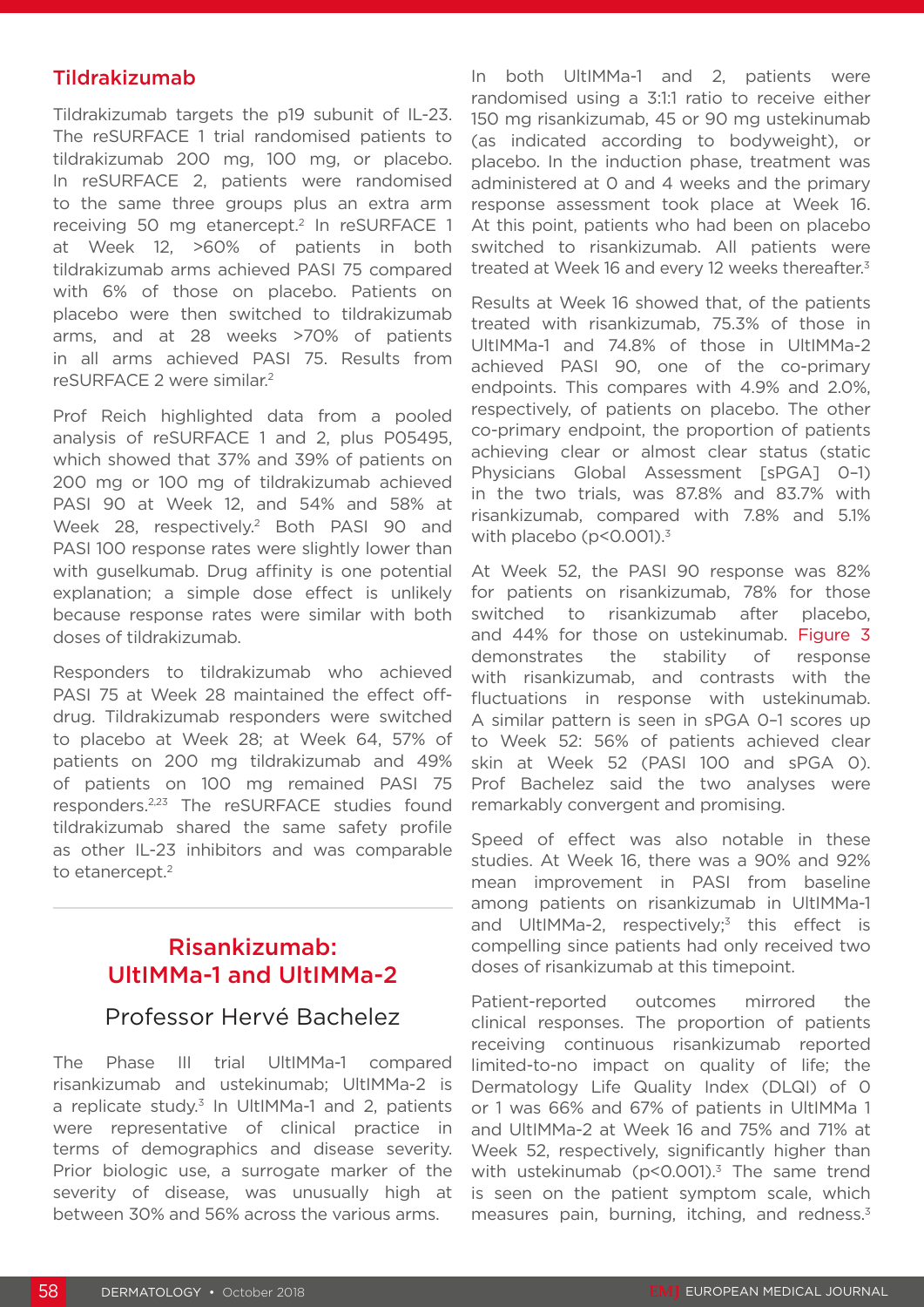#### Tildrakizumab

Tildrakizumab targets the p19 subunit of IL-23. The reSURFACE 1 trial randomised patients to tildrakizumab 200 mg, 100 mg, or placebo. In reSURFACE 2, patients were randomised to the same three groups plus an extra arm receiving 50 mg etanercept.<sup>2</sup> In reSURFACE 1 at Week 12, >60% of patients in both tildrakizumab arms achieved PASI 75 compared with 6% of those on placebo. Patients on placebo were then switched to tildrakizumab arms, and at 28 weeks >70% of patients in all arms achieved PASI 75. Results from reSURFACE 2 were similar.2

Prof Reich highlighted data from a pooled analysis of reSURFACE 1 and 2, plus P05495, which showed that 37% and 39% of patients on 200 mg or 100 mg of tildrakizumab achieved PASI 90 at Week 12, and 54% and 58% at Week 28, respectively.<sup>2</sup> Both PASI 90 and PASI 100 response rates were slightly lower than with guselkumab. Drug affinity is one potential explanation; a simple dose effect is unlikely because response rates were similar with both doses of tildrakizumab.

Responders to tildrakizumab who achieved PASI 75 at Week 28 maintained the effect offdrug. Tildrakizumab responders were switched to placebo at Week 28; at Week 64, 57% of patients on 200 mg tildrakizumab and 49% of patients on 100 mg remained PASI 75 responders.2,23 The reSURFACE studies found tildrakizumab shared the same safety profile as other IL-23 inhibitors and was comparable to etanercept.<sup>2</sup>

### Risankizumab: UltIMMa-1 and UltIMMa-2

### Professor Hervé Bachelez

The Phase III trial UltIMMa-1 compared risankizumab and ustekinumab; UltIMMa-2 is a replicate study. $3$  In UltIMMa-1 and 2, patients were representative of clinical practice in terms of demographics and disease severity. Prior biologic use, a surrogate marker of the severity of disease, was unusually high at between 30% and 56% across the various arms.

In both UltIMMa-1 and 2, patients were randomised using a 3:1:1 ratio to receive either 150 mg risankizumab, 45 or 90 mg ustekinumab (as indicated according to bodyweight), or placebo. In the induction phase, treatment was administered at 0 and 4 weeks and the primary response assessment took place at Week 16. At this point, patients who had been on placebo switched to risankizumab. All patients were treated at Week 16 and every 12 weeks thereafter.<sup>3</sup>

Results at Week 16 showed that, of the patients treated with risankizumab, 75.3% of those in UltIMMa-1 and 74.8% of those in UltIMMa-2 achieved PASI 90, one of the co-primary endpoints. This compares with 4.9% and 2.0%, respectively, of patients on placebo. The other co-primary endpoint, the proportion of patients achieving clear or almost clear status (static Physicians Global Assessment [sPGA] 0–1) in the two trials, was 87.8% and 83.7% with risankizumab, compared with 7.8% and 5.1% with placebo (p<0.001).<sup>3</sup>

At Week 52, the PASI 90 response was 82% for patients on risankizumab, 78% for those switched to risankizumab after placebo, and 44% for those on ustekinumab. Figure 3 demonstrates the stability of response with risankizumab, and contrasts with the fluctuations in response with ustekinumab. A similar pattern is seen in sPGA 0–1 scores up to Week 52: 56% of patients achieved clear skin at Week 52 (PASI 100 and sPGA 0). Prof Bachelez said the two analyses were remarkably convergent and promising.

Speed of effect was also notable in these studies. At Week 16, there was a 90% and 92% mean improvement in PASI from baseline among patients on risankizumab in UltIMMa-1 and UltIMMa-2, respectively;<sup>3</sup> this effect is compelling since patients had only received two doses of risankizumab at this timepoint.

Patient-reported outcomes mirrored the clinical responses. The proportion of patients receiving continuous risankizumab reported limited-to-no impact on quality of life; the Dermatology Life Quality Index (DLQI) of 0 or 1 was 66% and 67% of patients in UltIMMa 1 and UltIMMa-2 at Week 16 and 75% and 71% at Week 52, respectively, significantly higher than with ustekinumab ( $p$ <0.001).<sup>3</sup> The same trend is seen on the patient symptom scale, which measures pain, burning, itching, and redness.<sup>3</sup>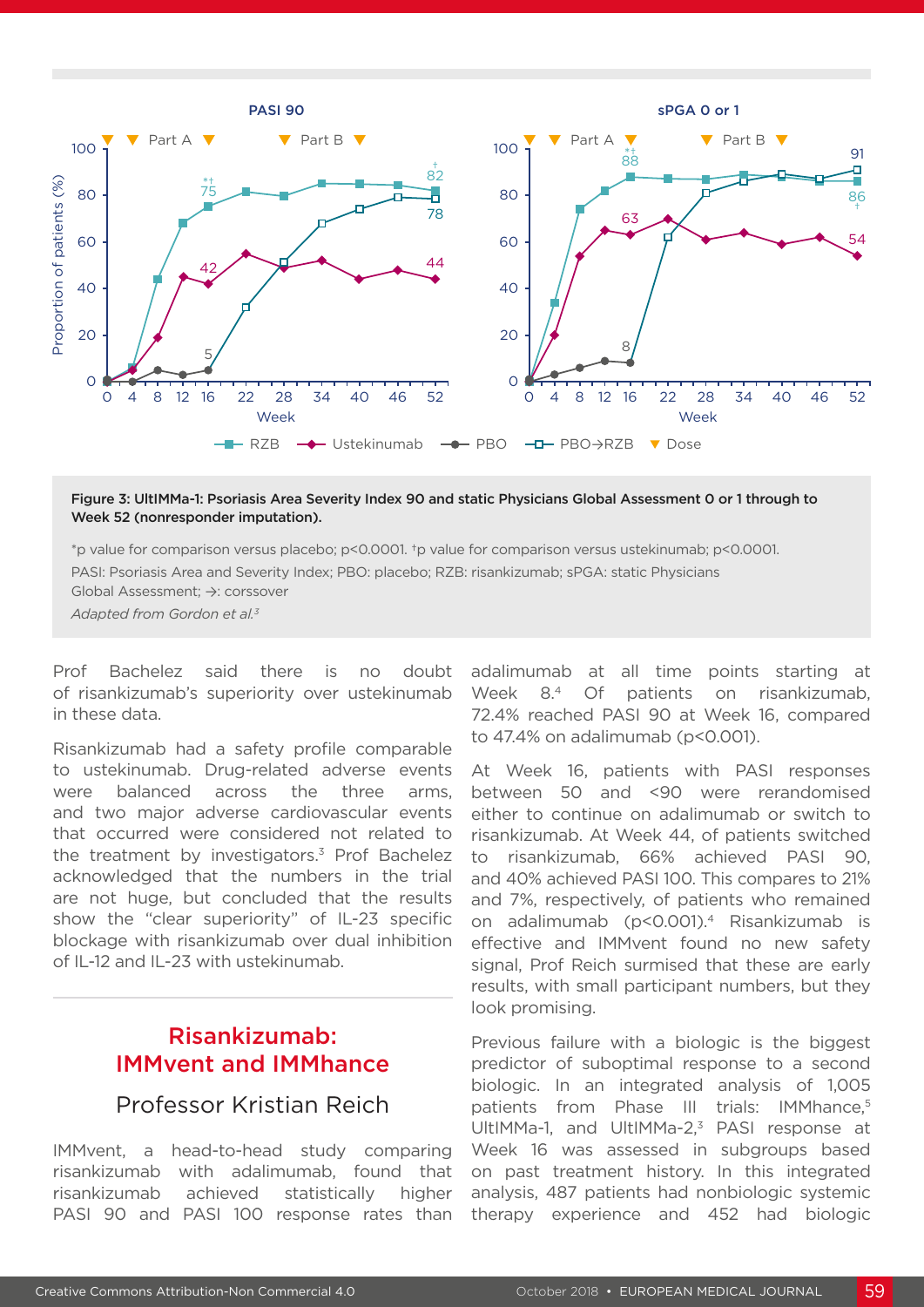

#### Figure 3: UltIMMa-1: Psoriasis Area Severity Index 90 and static Physicians Global Assessment 0 or 1 through to Week 52 (nonresponder imputation).

\*p value for comparison versus placebo; p<0.0001. †p value for comparison versus ustekinumab; p<0.0001. PASI: Psoriasis Area and Severity Index; PBO: placebo; RZB: risankizumab; sPGA: static Physicians Global Assessment; →: corssover

*Adapted from Gordon et al.3*

Prof Bachelez said there is no doubt of risankizumab's superiority over ustekinumab in these data.

Risankizumab had a safety profile comparable to ustekinumab. Drug-related adverse events were balanced across the three arms, and two major adverse cardiovascular events that occurred were considered not related to the treatment by investigators.<sup>3</sup> Prof Bachelez acknowledged that the numbers in the trial are not huge, but concluded that the results show the "clear superiority" of IL-23 specific blockage with risankizumab over dual inhibition of IL-12 and IL-23 with ustekinumab.

## Risankizumab: IMMvent and IMMhance

### Professor Kristian Reich

IMMvent, a head-to-head study comparing risankizumab with adalimumab, found that risankizumab achieved statistically higher PASI 90 and PASI 100 response rates than

adalimumab at all time points starting at Week 8.<sup>4</sup> Of patients on risankizumab, 72.4% reached PASI 90 at Week 16, compared to 47.4% on adalimumab (p<0.001).

At Week 16, patients with PASI responses between 50 and <90 were rerandomised either to continue on adalimumab or switch to risankizumab. At Week 44, of patients switched to risankizumab, 66% achieved PASI 90, and 40% achieved PASI 100. This compares to 21% and 7%, respectively, of patients who remained on adalimumab (p<0.001).4 Risankizumab is effective and IMMvent found no new safety signal, Prof Reich surmised that these are early results, with small participant numbers, but they look promising.

Previous failure with a biologic is the biggest predictor of suboptimal response to a second biologic. In an integrated analysis of 1,005 patients from Phase III trials: IMMhance,<sup>5</sup> UltIMMa-1, and UltIMMa-2,<sup>3</sup> PASI response at Week 16 was assessed in subgroups based on past treatment history. In this integrated analysis, 487 patients had nonbiologic systemic therapy experience and 452 had biologic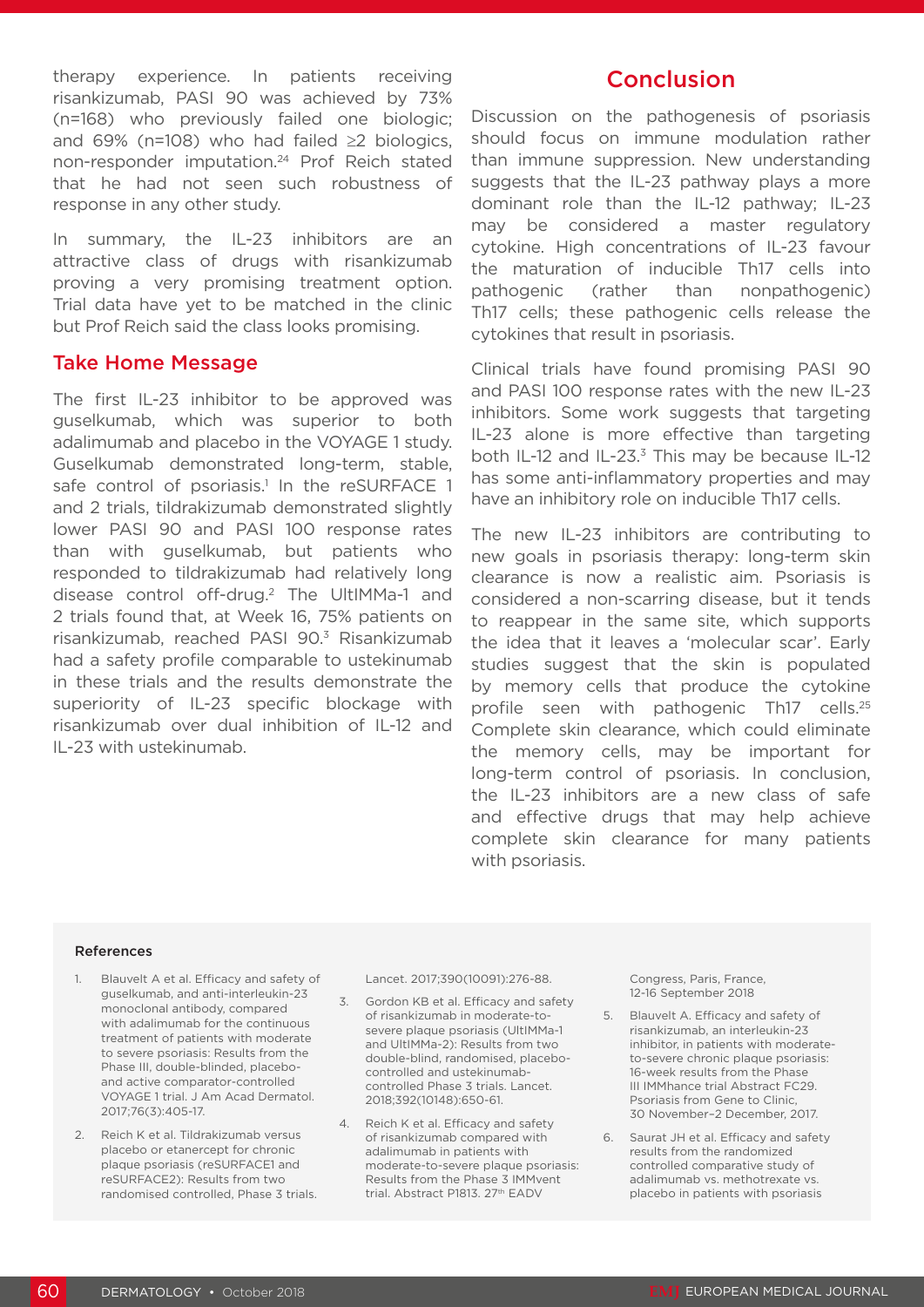therapy experience. In patients receiving risankizumab, PASI 90 was achieved by 73% (n=168) who previously failed one biologic; and 69% (n=108) who had failed ≥2 biologics, non-responder imputation.24 Prof Reich stated that he had not seen such robustness of response in any other study.

In summary, the IL-23 inhibitors are an attractive class of drugs with risankizumab proving a very promising treatment option. Trial data have yet to be matched in the clinic but Prof Reich said the class looks promising.

#### Take Home Message

The first IL-23 inhibitor to be approved was guselkumab, which was superior to both adalimumab and placebo in the VOYAGE 1 study. Guselkumab demonstrated long-term, stable, safe control of psoriasis.<sup>1</sup> In the reSURFACE 1 and 2 trials, tildrakizumab demonstrated slightly lower PASI 90 and PASI 100 response rates than with guselkumab, but patients who responded to tildrakizumab had relatively long disease control off-drug.2 The UltIMMa-1 and 2 trials found that, at Week 16, 75% patients on risankizumab, reached PASI 90.3 Risankizumab had a safety profile comparable to ustekinumab in these trials and the results demonstrate the superiority of IL-23 specific blockage with risankizumab over dual inhibition of IL-12 and IL-23 with ustekinumab.

### Conclusion

Discussion on the pathogenesis of psoriasis should focus on immune modulation rather than immune suppression. New understanding suggests that the IL-23 pathway plays a more dominant role than the IL-12 pathway; IL-23 may be considered a master regulatory cytokine. High concentrations of IL-23 favour the maturation of inducible Th17 cells into pathogenic (rather than nonpathogenic) Th17 cells; these pathogenic cells release the cytokines that result in psoriasis.

Clinical trials have found promising PASI 90 and PASI 100 response rates with the new IL-23 inhibitors. Some work suggests that targeting IL-23 alone is more effective than targeting both IL-12 and IL-23. $3$  This may be because IL-12 has some anti-inflammatory properties and may have an inhibitory role on inducible Th17 cells.

The new IL-23 inhibitors are contributing to new goals in psoriasis therapy: long-term skin clearance is now a realistic aim. Psoriasis is considered a non-scarring disease, but it tends to reappear in the same site, which supports the idea that it leaves a 'molecular scar'. Early studies suggest that the skin is populated by memory cells that produce the cytokine profile seen with pathogenic Th17 cells.25 Complete skin clearance, which could eliminate the memory cells, may be important for long-term control of psoriasis. In conclusion, the IL-23 inhibitors are a new class of safe and effective drugs that may help achieve complete skin clearance for many patients with psoriasis.

#### References

- 1. Blauvelt A et al. Efficacy and safety of guselkumab, and anti-interleukin-23 monoclonal antibody, compared with adalimumab for the continuous treatment of patients with moderate to severe psoriasis: Results from the Phase III, double-blinded, placeboand active comparator-controlled VOYAGE 1 trial. J Am Acad Dermatol. 2017;76(3):405-17.
- 2. Reich K et al. Tildrakizumab versus placebo or etanercept for chronic plaque psoriasis (reSURFACE1 and reSURFACE2): Results from two randomised controlled, Phase 3 trials.

Lancet. 2017;390(10091):276-88.

- 3. Gordon KB et al. Efficacy and safety of risankizumab in moderate-tosevere plaque psoriasis (UltIMMa-1 and UltIMMa-2): Results from two double-blind, randomised, placebocontrolled and ustekinumabcontrolled Phase 3 trials. Lancet. 2018;392(10148):650-61.
- 4. Reich K et al. Efficacy and safety of risankizumab compared with adalimumab in patients with moderate-to-severe plaque psoriasis: Results from the Phase 3 IMMvent trial. Abstract P1813. 27th EADV

Congress, Paris, France, 12-16 September 2018

- 5. Blauvelt A. Efficacy and safety of risankizumab, an interleukin-23 inhibitor, in patients with moderateto-severe chronic plaque psoriasis: 16-week results from the Phase III IMMhance trial Abstract FC29. Psoriasis from Gene to Clinic, 30 November–2 December, 2017.
- 6. Saurat JH et al. Efficacy and safety results from the randomized controlled comparative study of adalimumab vs. methotrexate vs. placebo in patients with psoriasis